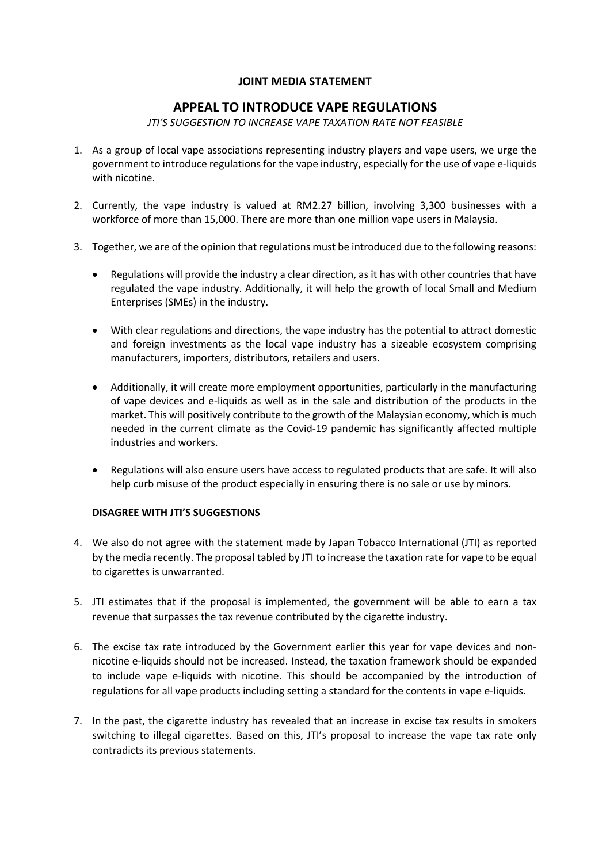## **JOINT MEDIA STATEMENT**

# **APPEAL TO INTRODUCE VAPE REGULATIONS**

#### *JTI'S SUGGESTION TO INCREASE VAPE TAXATION RATE NOT FEASIBLE*

- 1. As a group of local vape associations representing industry players and vape users, we urge the government to introduce regulations for the vape industry, especially for the use of vape e-liquids with nicotine.
- 2. Currently, the vape industry is valued at RM2.27 billion, involving 3,300 businesses with a workforce of more than 15,000. There are more than one million vape users in Malaysia.
- 3. Together, we are of the opinion that regulations must be introduced due to the following reasons:
	- Regulations will provide the industry a clear direction, as it has with other countries that have regulated the vape industry. Additionally, it will help the growth of local Small and Medium Enterprises (SMEs) in the industry.
	- With clear regulations and directions, the vape industry has the potential to attract domestic and foreign investments as the local vape industry has a sizeable ecosystem comprising manufacturers, importers, distributors, retailers and users.
	- Additionally, it will create more employment opportunities, particularly in the manufacturing of vape devices and e-liquids as well as in the sale and distribution of the products in the market. This will positively contribute to the growth of the Malaysian economy, which is much needed in the current climate as the Covid-19 pandemic has significantly affected multiple industries and workers.
	- Regulations will also ensure users have access to regulated products that are safe. It will also help curb misuse of the product especially in ensuring there is no sale or use by minors.

## **DISAGREE WITH JTI'S SUGGESTIONS**

- 4. We also do not agree with the statement made by Japan Tobacco International (JTI) as reported by the media recently. The proposal tabled by JTI to increase the taxation rate for vape to be equal to cigarettes is unwarranted.
- 5. JTI estimates that if the proposal is implemented, the government will be able to earn a tax revenue that surpasses the tax revenue contributed by the cigarette industry.
- 6. The excise tax rate introduced by the Government earlier this year for vape devices and nonnicotine e-liquids should not be increased. Instead, the taxation framework should be expanded to include vape e-liquids with nicotine. This should be accompanied by the introduction of regulations for all vape products including setting a standard for the contents in vape e-liquids.
- 7. In the past, the cigarette industry has revealed that an increase in excise tax results in smokers switching to illegal cigarettes. Based on this, JTI's proposal to increase the vape tax rate only contradicts its previous statements.